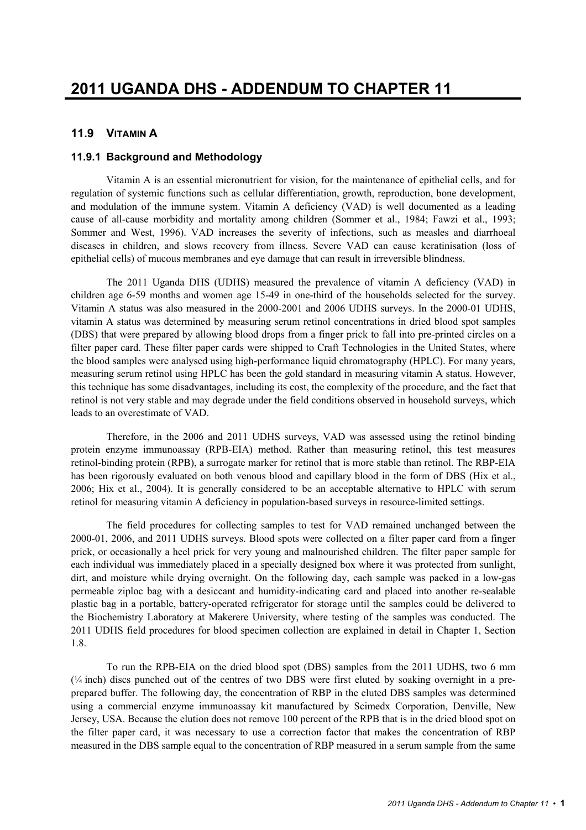## **11.9 VITAMIN A**

## **11.9.1 Background and Methodology**

Vitamin A is an essential micronutrient for vision, for the maintenance of epithelial cells, and for regulation of systemic functions such as cellular differentiation, growth, reproduction, bone development, and modulation of the immune system. Vitamin A deficiency (VAD) is well documented as a leading cause of all-cause morbidity and mortality among children (Sommer et al., 1984; Fawzi et al., 1993; Sommer and West, 1996). VAD increases the severity of infections, such as measles and diarrhoeal diseases in children, and slows recovery from illness. Severe VAD can cause keratinisation (loss of epithelial cells) of mucous membranes and eye damage that can result in irreversible blindness.

The 2011 Uganda DHS (UDHS) measured the prevalence of vitamin A deficiency (VAD) in children age 6-59 months and women age 15-49 in one-third of the households selected for the survey. Vitamin A status was also measured in the 2000-2001 and 2006 UDHS surveys. In the 2000-01 UDHS, vitamin A status was determined by measuring serum retinol concentrations in dried blood spot samples (DBS) that were prepared by allowing blood drops from a finger prick to fall into pre-printed circles on a filter paper card. These filter paper cards were shipped to Craft Technologies in the United States, where the blood samples were analysed using high-performance liquid chromatography (HPLC). For many years, measuring serum retinol using HPLC has been the gold standard in measuring vitamin A status. However, this technique has some disadvantages, including its cost, the complexity of the procedure, and the fact that retinol is not very stable and may degrade under the field conditions observed in household surveys, which leads to an overestimate of VAD.

Therefore, in the 2006 and 2011 UDHS surveys, VAD was assessed using the retinol binding protein enzyme immunoassay (RPB-EIA) method. Rather than measuring retinol, this test measures retinol-binding protein (RPB), a surrogate marker for retinol that is more stable than retinol. The RBP-EIA has been rigorously evaluated on both venous blood and capillary blood in the form of DBS (Hix et al., 2006; Hix et al., 2004). It is generally considered to be an acceptable alternative to HPLC with serum retinol for measuring vitamin A deficiency in population-based surveys in resource-limited settings.

The field procedures for collecting samples to test for VAD remained unchanged between the 2000-01, 2006, and 2011 UDHS surveys. Blood spots were collected on a filter paper card from a finger prick, or occasionally a heel prick for very young and malnourished children. The filter paper sample for each individual was immediately placed in a specially designed box where it was protected from sunlight, dirt, and moisture while drying overnight. On the following day, each sample was packed in a low-gas permeable ziploc bag with a desiccant and humidity-indicating card and placed into another re-sealable plastic bag in a portable, battery-operated refrigerator for storage until the samples could be delivered to the Biochemistry Laboratory at Makerere University, where testing of the samples was conducted. The 2011 UDHS field procedures for blood specimen collection are explained in detail in Chapter 1, Section 1.8.

To run the RPB-EIA on the dried blood spot (DBS) samples from the 2011 UDHS, two 6 mm (¼ inch) discs punched out of the centres of two DBS were first eluted by soaking overnight in a preprepared buffer. The following day, the concentration of RBP in the eluted DBS samples was determined using a commercial enzyme immunoassay kit manufactured by Scimedx Corporation, Denville, New Jersey, USA. Because the elution does not remove 100 percent of the RPB that is in the dried blood spot on the filter paper card, it was necessary to use a correction factor that makes the concentration of RBP measured in the DBS sample equal to the concentration of RBP measured in a serum sample from the same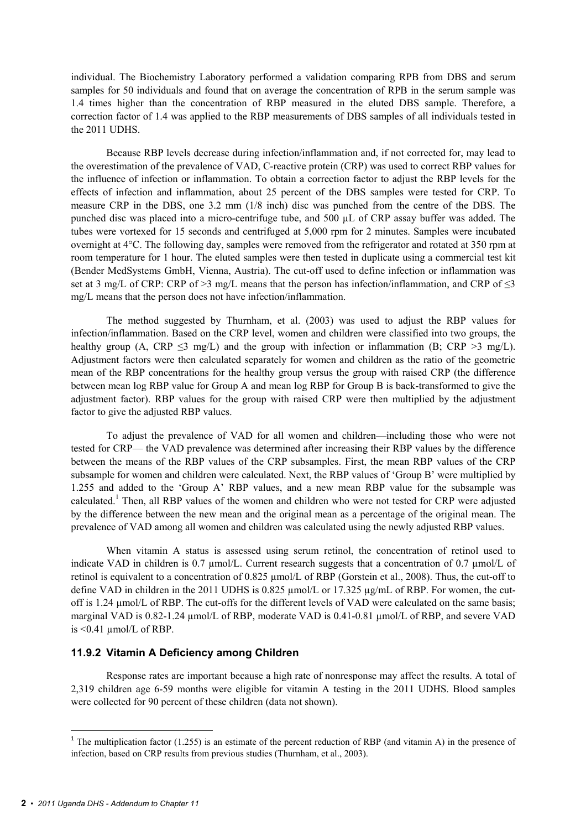individual. The Biochemistry Laboratory performed a validation comparing RPB from DBS and serum samples for 50 individuals and found that on average the concentration of RPB in the serum sample was 1.4 times higher than the concentration of RBP measured in the eluted DBS sample. Therefore, a correction factor of 1.4 was applied to the RBP measurements of DBS samples of all individuals tested in the 2011 UDHS.

Because RBP levels decrease during infection/inflammation and, if not corrected for, may lead to the overestimation of the prevalence of VAD, C-reactive protein (CRP) was used to correct RBP values for the influence of infection or inflammation. To obtain a correction factor to adjust the RBP levels for the effects of infection and inflammation, about 25 percent of the DBS samples were tested for CRP. To measure CRP in the DBS, one 3.2 mm (1/8 inch) disc was punched from the centre of the DBS. The punched disc was placed into a micro-centrifuge tube, and 500 µL of CRP assay buffer was added. The tubes were vortexed for 15 seconds and centrifuged at 5,000 rpm for 2 minutes. Samples were incubated overnight at 4°C. The following day, samples were removed from the refrigerator and rotated at 350 rpm at room temperature for 1 hour. The eluted samples were then tested in duplicate using a commercial test kit (Bender MedSystems GmbH, Vienna, Austria). The cut-off used to define infection or inflammation was set at 3 mg/L of CRP: CRP of >3 mg/L means that the person has infection/inflammation, and CRP of  $\leq$ 3 mg/L means that the person does not have infection/inflammation.

The method suggested by Thurnham, et al. (2003) was used to adjust the RBP values for infection/inflammation. Based on the CRP level, women and children were classified into two groups, the healthy group (A, CRP  $\leq$ 3 mg/L) and the group with infection or inflammation (B; CRP  $>$ 3 mg/L). Adjustment factors were then calculated separately for women and children as the ratio of the geometric mean of the RBP concentrations for the healthy group versus the group with raised CRP (the difference between mean log RBP value for Group A and mean log RBP for Group B is back-transformed to give the adjustment factor). RBP values for the group with raised CRP were then multiplied by the adjustment factor to give the adjusted RBP values.

To adjust the prevalence of VAD for all women and children—including those who were not tested for CRP— the VAD prevalence was determined after increasing their RBP values by the difference between the means of the RBP values of the CRP subsamples. First, the mean RBP values of the CRP subsample for women and children were calculated. Next, the RBP values of 'Group B' were multiplied by 1.255 and added to the 'Group A' RBP values, and a new mean RBP value for the subsample was calculated.<sup>1</sup> Then, all RBP values of the women and children who were not tested for CRP were adjusted by the difference between the new mean and the original mean as a percentage of the original mean. The prevalence of VAD among all women and children was calculated using the newly adjusted RBP values.

When vitamin A status is assessed using serum retinol, the concentration of retinol used to indicate VAD in children is 0.7 µmol/L. Current research suggests that a concentration of 0.7 µmol/L of retinol is equivalent to a concentration of 0.825 µmol/L of RBP (Gorstein et al., 2008). Thus, the cut-off to define VAD in children in the 2011 UDHS is 0.825  $\mu$ mol/L or 17.325  $\mu$ g/mL of RBP. For women, the cutoff is 1.24 µmol/L of RBP. The cut-offs for the different levels of VAD were calculated on the same basis; marginal VAD is 0.82-1.24 µmol/L of RBP, moderate VAD is 0.41-0.81 µmol/L of RBP, and severe VAD is  $\leq 0.41$  µmol/L of RBP.

## **11.9.2 Vitamin A Deficiency among Children**

Response rates are important because a high rate of nonresponse may affect the results. A total of 2,319 children age 6-59 months were eligible for vitamin A testing in the 2011 UDHS. Blood samples were collected for 90 percent of these children (data not shown).

 $\overline{\phantom{a}}$ 

<sup>&</sup>lt;sup>1</sup> The multiplication factor (1.255) is an estimate of the percent reduction of RBP (and vitamin A) in the presence of infection, based on CRP results from previous studies (Thurnham, et al., 2003).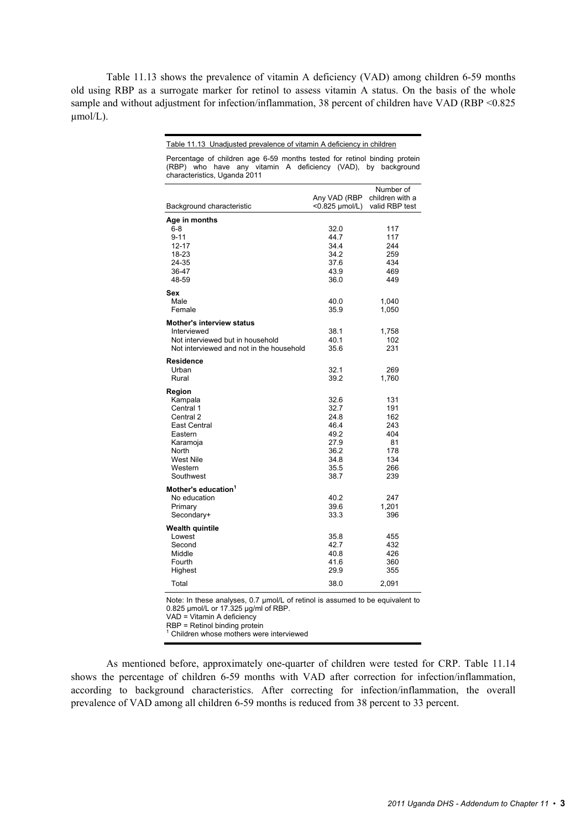Table 11.13 shows the prevalence of vitamin A deficiency (VAD) among children 6-59 months old using RBP as a surrogate marker for retinol to assess vitamin A status. On the basis of the whole sample and without adjustment for infection/inflammation, 38 percent of children have VAD (RBP <0.825)  $umol/L$ ).

#### Table 11.13 Unadjusted prevalence of vitamin A deficiency in children

| (RBP) who have any vitamin A deficiency (VAD), by background<br>characteristics, Uganda 2011                                     |                                                                              |                                                                   |
|----------------------------------------------------------------------------------------------------------------------------------|------------------------------------------------------------------------------|-------------------------------------------------------------------|
| Background characteristic                                                                                                        | Any VAD (RBP<br><0.825 µmol/L)                                               | Number of<br>children with a<br>valid RBP test                    |
| Age in months<br>$6 - 8$<br>$9 - 11$<br>12-17<br>18-23<br>24-35<br>36-47<br>48-59                                                | 32.0<br>44.7<br>34.4<br>34.2<br>37.6<br>43.9<br>36.0                         | 117<br>117<br>244<br>259<br>434<br>469<br>449                     |
| Sex<br>Male<br>Female                                                                                                            | 40.0<br>35.9                                                                 | 1,040<br>1,050                                                    |
| <b>Mother's interview status</b><br>Interviewed<br>Not interviewed but in household<br>Not interviewed and not in the household  | 38.1<br>40.1<br>35.6                                                         | 1,758<br>102<br>231                                               |
| <b>Residence</b><br>Urban<br>Rural                                                                                               | 32.1<br>39.2                                                                 | 269<br>1,760                                                      |
| Region<br>Kampala<br>Central 1<br>Central 2<br>East Central<br>Eastern<br>Karamoja<br>North<br>West Nile<br>Western<br>Southwest | 32.6<br>32.7<br>24.8<br>46.4<br>49.2<br>27.9<br>36.2<br>34.8<br>35.5<br>38.7 | 131<br>191<br>162<br>243<br>404<br>81<br>178<br>134<br>266<br>239 |
| Mother's education <sup>1</sup><br>No education<br>Primary<br>Secondary+                                                         | 40.2<br>39.6<br>33.3                                                         | 247<br>1,201<br>396                                               |
| Wealth quintile<br>Lowest<br>Second<br>Middle<br>Fourth<br>Highest<br>Total                                                      | 35.8<br>42.7<br>40.8<br>41.6<br>29.9<br>38.0                                 | 455<br>432<br>426<br>360<br>355<br>2,091                          |

Percentage of children age 6-59 months tested for retinol binding protein

Note: In these analyses, 0.7 µmol/L of retinol is assumed to be equivalent to 0.825 µmol/L or 17.325 µg/ml of RBP.

VAD = Vitamin A deficiency

RBP = Retinol binding protein

<sup>1</sup> Children whose mothers were interviewed

As mentioned before, approximately one-quarter of children were tested for CRP. Table 11.14 shows the percentage of children 6-59 months with VAD after correction for infection/inflammation, according to background characteristics. After correcting for infection/inflammation, the overall prevalence of VAD among all children 6-59 months is reduced from 38 percent to 33 percent.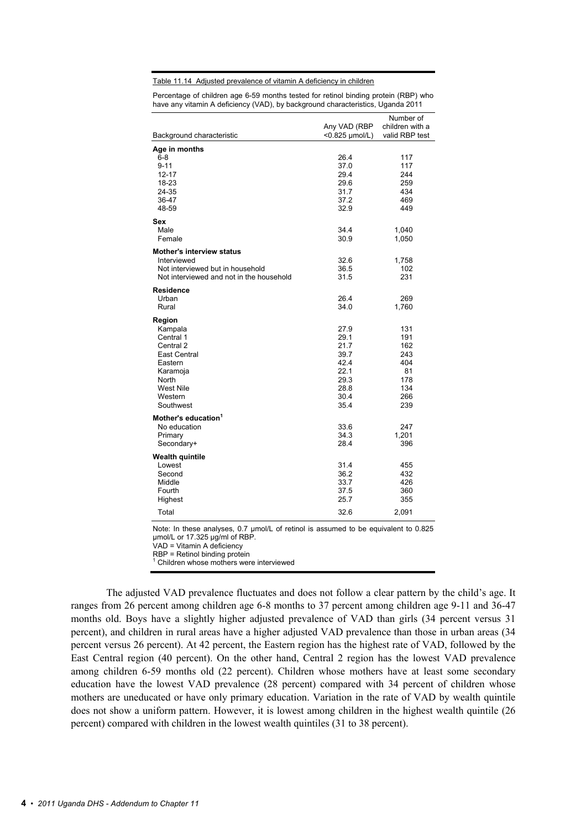Table 11.14 Adjusted prevalence of vitamin A deficiency in children

Percentage of children age 6-59 months tested for retinol binding protein (RBP) who have any vitamin A deficiency (VAD), by background characteristics, Uganda 2011

|                                          |                | Number of                         |
|------------------------------------------|----------------|-----------------------------------|
|                                          | Any VAD (RBP   | children with a<br>valid RBP test |
| Background characteristic                | <0.825 µmol/L) |                                   |
| Age in months                            |                |                                   |
| $6 - 8$                                  | 26.4           | 117                               |
| $9 - 11$                                 | 37.0           | 117                               |
| $12 - 17$                                | 29.4           | 244                               |
| 18-23                                    | 29.6           | 259                               |
| 24-35                                    | 31.7           | 434                               |
| 36-47                                    | 37.2           | 469                               |
| 48-59                                    | 32.9           | 449                               |
| Sex                                      |                |                                   |
| Male                                     | 34.4           | 1,040                             |
| Female                                   | 30.9           | 1,050                             |
| <b>Mother's interview status</b>         |                |                                   |
| Interviewed                              | 32.6           | 1,758                             |
| Not interviewed but in household         | 36.5           | 102                               |
| Not interviewed and not in the household | 31.5           | 231                               |
| <b>Residence</b>                         |                |                                   |
| Urban                                    | 26.4           | 269                               |
| Rural                                    | 34.0           | 1,760                             |
|                                          |                |                                   |
| Region<br>Kampala                        | 27.9           | 131                               |
| Central 1                                | 29.1           | 191                               |
| Central 2                                | 21.7           | 162                               |
| East Central                             | 39.7           | 243                               |
| Eastern                                  | 42.4           | 404                               |
| Karamoja                                 | 22.1           | 81                                |
| North                                    | 29.3           | 178                               |
| <b>West Nile</b>                         | 28.8           | 134                               |
| Western                                  | 30.4           | 266                               |
| Southwest                                | 35.4           | 239                               |
| Mother's education <sup>1</sup>          |                |                                   |
| No education                             | 33.6           | 247                               |
| Primary                                  | 34.3           | 1,201                             |
| Secondary+                               | 28.4           | 396                               |
|                                          |                |                                   |
| <b>Wealth quintile</b>                   |                |                                   |
| Lowest                                   | 31.4           | 455                               |
| Second                                   | 36.2           | 432<br>426                        |
| Middle<br>Fourth                         | 33.7<br>37.5   | 360                               |
| Highest                                  | 25.7           | 355                               |
|                                          |                |                                   |
| Total                                    | 32.6           | 2,091                             |

Note: In these analyses, 0.7  $\mu$ mol/L of retinol is assumed to be equivalent to 0.825 µmol/L or 17.325 µg/ml of RBP. VAD = Vitamin A deficiency

 $RBP = Retinol binding protein$ <br>  $\frac{1}{1}$  Children whose mothers were

Children whose mothers were interviewed

The adjusted VAD prevalence fluctuates and does not follow a clear pattern by the child's age. It ranges from 26 percent among children age 6-8 months to 37 percent among children age 9-11 and 36-47 months old. Boys have a slightly higher adjusted prevalence of VAD than girls (34 percent versus 31 percent), and children in rural areas have a higher adjusted VAD prevalence than those in urban areas (34 percent versus 26 percent). At 42 percent, the Eastern region has the highest rate of VAD, followed by the East Central region (40 percent). On the other hand, Central 2 region has the lowest VAD prevalence among children 6-59 months old (22 percent). Children whose mothers have at least some secondary education have the lowest VAD prevalence (28 percent) compared with 34 percent of children whose mothers are uneducated or have only primary education. Variation in the rate of VAD by wealth quintile does not show a uniform pattern. However, it is lowest among children in the highest wealth quintile (26 percent) compared with children in the lowest wealth quintiles (31 to 38 percent).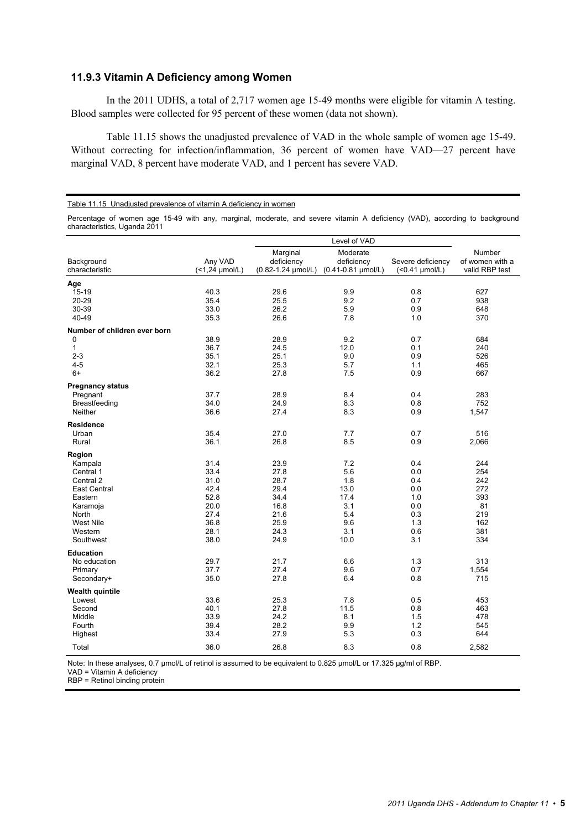## **11.9.3 Vitamin A Deficiency among Women**

In the 2011 UDHS, a total of 2,717 women age 15-49 months were eligible for vitamin A testing. Blood samples were collected for 95 percent of these women (data not shown).

Table 11.15 shows the unadjusted prevalence of VAD in the whole sample of women age 15-49. Without correcting for infection/inflammation, 36 percent of women have VAD—27 percent have marginal VAD, 8 percent have moderate VAD, and 1 percent has severe VAD.

#### Table 11.15 Unadjusted prevalence of vitamin A deficiency in women

Percentage of women age 15-49 with any, marginal, moderate, and severe vitamin A deficiency (VAD), according to background characteristics, Uganda 2011

|                              |                           | Level of VAD                                        |                                                  |                                     |                                             |
|------------------------------|---------------------------|-----------------------------------------------------|--------------------------------------------------|-------------------------------------|---------------------------------------------|
| Background<br>characteristic | Any VAD<br>(<1,24 µmol/L) | Marginal<br>deficiency<br>$(0.82 - 1.24 \mu mol/L)$ | Moderate<br>deficiency<br>$(0.41 - 0.81$ µmol/L) | Severe deficiency<br>(<0.41 µmol/L) | Number<br>of women with a<br>valid RBP test |
| Age                          |                           |                                                     |                                                  |                                     |                                             |
| 15-19                        | 40.3                      | 29.6                                                | 9.9                                              | 0.8                                 | 627                                         |
| 20-29                        | 35.4                      | 25.5                                                | 9.2                                              | 0.7                                 | 938                                         |
| 30-39                        | 33.0                      | 26.2                                                | 5.9                                              | 0.9                                 | 648                                         |
| 40-49                        | 35.3                      | 26.6                                                | 7.8                                              | 1.0                                 | 370                                         |
| Number of children ever born |                           |                                                     |                                                  |                                     |                                             |
| 0                            | 38.9                      | 28.9                                                | 9.2                                              | 0.7                                 | 684                                         |
| $\mathbf{1}$                 | 36.7                      | 24.5                                                | 12.0                                             | 0.1                                 | 240                                         |
| $2 - 3$                      | 35.1                      | 25.1                                                | 9.0                                              | 0.9                                 | 526                                         |
| $4 - 5$                      | 32.1                      | 25.3                                                | 5.7                                              | 1.1                                 | 465                                         |
| $6+$                         | 36.2                      | 27.8                                                | 7.5                                              | 0.9                                 | 667                                         |
| <b>Pregnancy status</b>      |                           |                                                     |                                                  |                                     |                                             |
| Pregnant                     | 37.7                      | 28.9                                                | 8.4                                              | 0.4                                 | 283                                         |
| Breastfeeding                | 34.0                      | 24.9                                                | 8.3                                              | 0.8                                 | 752                                         |
| Neither                      | 36.6                      | 27.4                                                | 8.3                                              | 0.9                                 | 1,547                                       |
| <b>Residence</b>             |                           |                                                     |                                                  |                                     |                                             |
| Urban                        | 35.4                      | 27.0                                                | 7.7                                              | 0.7                                 | 516                                         |
| Rural                        | 36.1                      | 26.8                                                | 8.5                                              | 0.9                                 | 2,066                                       |
| Region                       |                           |                                                     |                                                  |                                     |                                             |
| Kampala                      | 31.4                      | 23.9                                                | 7.2                                              | 0.4                                 | 244                                         |
| Central 1                    | 33.4                      | 27.8                                                | 5.6                                              | 0.0                                 | 254                                         |
| Central 2                    | 31.0                      | 28.7                                                | 1.8                                              | 0.4                                 | 242                                         |
| <b>East Central</b>          | 42.4                      | 29.4                                                | 13.0                                             | 0.0                                 | 272                                         |
| Eastern                      | 52.8                      | 34.4                                                | 17.4                                             | 1.0                                 | 393                                         |
| Karamoja                     | 20.0                      | 16.8                                                | 3.1                                              | 0.0                                 | 81                                          |
| North                        | 27.4                      | 21.6                                                | 5.4                                              | 0.3                                 | 219                                         |
| <b>West Nile</b>             | 36.8                      | 25.9                                                | 9.6                                              | 1.3                                 | 162                                         |
| Western                      | 28.1                      | 24.3                                                | 3.1                                              | 0.6                                 | 381                                         |
| Southwest                    | 38.0                      | 24.9                                                | 10.0                                             | 3.1                                 | 334                                         |
| <b>Education</b>             |                           |                                                     |                                                  |                                     |                                             |
| No education                 | 29.7                      | 21.7                                                | 6.6                                              | 1.3                                 | 313                                         |
| Primary                      | 37.7                      | 27.4                                                | 9.6                                              | 0.7                                 | 1,554                                       |
| Secondary+                   | 35.0                      | 27.8                                                | 6.4                                              | 0.8                                 | 715                                         |
| <b>Wealth quintile</b>       |                           |                                                     |                                                  |                                     |                                             |
| Lowest                       | 33.6                      | 25.3                                                | 7.8                                              | 0.5                                 | 453                                         |
| Second                       | 40.1                      | 27.8                                                | 11.5                                             | 0.8                                 | 463                                         |
| Middle                       | 33.9                      | 24.2                                                | 8.1                                              | 1.5                                 | 478                                         |
| Fourth                       | 39.4                      | 28.2                                                | 9.9                                              | 1.2                                 | 545                                         |
| Highest                      | 33.4                      | 27.9                                                | 5.3                                              | 0.3                                 | 644                                         |
| Total                        | 36.0                      | 26.8                                                | 8.3                                              | 0.8                                 | 2,582                                       |

Note: In these analyses, 0.7 µmol/L of retinol is assumed to be equivalent to 0.825 µmol/L or 17.325 µg/ml of RBP.

VAD = Vitamin A deficiency

RBP = Retinol binding protein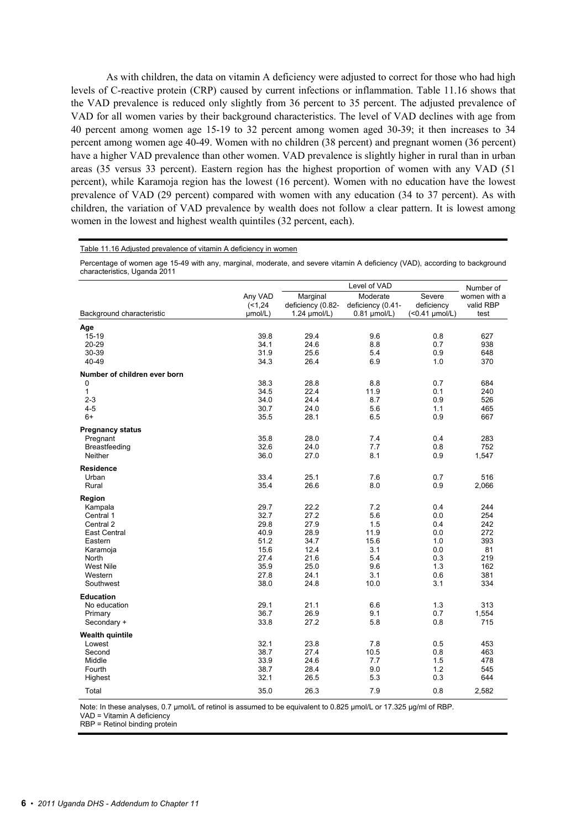As with children, the data on vitamin A deficiency were adjusted to correct for those who had high levels of C-reactive protein (CRP) caused by current infections or inflammation. Table 11.16 shows that the VAD prevalence is reduced only slightly from 36 percent to 35 percent. The adjusted prevalence of VAD for all women varies by their background characteristics. The level of VAD declines with age from 40 percent among women age 15-19 to 32 percent among women aged 30-39; it then increases to 34 percent among women age 40-49. Women with no children (38 percent) and pregnant women (36 percent) have a higher VAD prevalence than other women. VAD prevalence is slightly higher in rural than in urban areas (35 versus 33 percent). Eastern region has the highest proportion of women with any VAD (51 percent), while Karamoja region has the lowest (16 percent). Women with no education have the lowest prevalence of VAD (29 percent) compared with women with any education (34 to 37 percent). As with children, the variation of VAD prevalence by wealth does not follow a clear pattern. It is lowest among women in the lowest and highest wealth quintiles (32 percent, each).

#### Table 11.16 Adjusted prevalence of vitamin A deficiency in women

Percentage of women age 15-49 with any, marginal, moderate, and severe vitamin A deficiency (VAD), according to background characteristics, Uganda 2011

|                              | Level of VAD                  |                                               |                                                 |                                              | Number of                         |
|------------------------------|-------------------------------|-----------------------------------------------|-------------------------------------------------|----------------------------------------------|-----------------------------------|
| Background characteristic    | Any VAD<br>(1, 24)<br>µmol/L) | Marginal<br>deficiency (0.82-<br>1.24 umol/L) | Moderate<br>deficiency (0.41-<br>$0.81$ µmol/L) | Severe<br>deficiency<br>$($ < 0.41 $µmol/L)$ | women with a<br>valid RBP<br>test |
| Age                          |                               |                                               |                                                 |                                              |                                   |
| 15-19                        | 39.8                          | 29.4                                          | 9.6                                             | 0.8                                          | 627                               |
| 20-29                        | 34.1                          | 24.6                                          | 8.8                                             | 0.7                                          | 938                               |
| 30-39                        | 31.9                          | 25.6                                          | 5.4                                             | 0.9                                          | 648                               |
| 40-49                        | 34.3                          | 26.4                                          | 6.9                                             | 1.0                                          | 370                               |
| Number of children ever born |                               |                                               |                                                 |                                              |                                   |
| 0                            | 38.3                          | 28.8                                          | 8.8                                             | 0.7                                          | 684                               |
| 1                            | 34.5                          | 22.4                                          | 11.9                                            | 0.1                                          | 240                               |
| $2 - 3$                      | 34.0                          | 24.4                                          | 8.7                                             | 0.9                                          | 526                               |
| $4 - 5$                      | 30.7                          | 24.0                                          | 5.6                                             | 1.1                                          | 465                               |
| $6+$                         | 35.5                          | 28.1                                          | 6.5                                             | 0.9                                          | 667                               |
| <b>Pregnancy status</b>      |                               |                                               |                                                 |                                              |                                   |
| Pregnant                     | 35.8                          | 28.0                                          | 7.4                                             | 0.4                                          | 283                               |
| Breastfeeding                | 32.6                          | 24.0                                          | 7.7                                             | 0.8                                          | 752                               |
| <b>Neither</b>               | 36.0                          | 27.0                                          | 8.1                                             | 0.9                                          | 1,547                             |
| <b>Residence</b>             |                               |                                               |                                                 |                                              |                                   |
| Urban                        | 33.4                          | 25.1                                          | 7.6                                             | 0.7                                          | 516                               |
| Rural                        | 35.4                          | 26.6                                          | 8.0                                             | 0.9                                          | 2,066                             |
| Region                       |                               |                                               |                                                 |                                              |                                   |
| Kampala                      | 29.7                          | 22.2                                          | 7.2                                             | 0.4                                          | 244                               |
| Central 1                    | 32.7                          | 27.2                                          | 5.6                                             | 0.0                                          | 254                               |
| Central 2                    | 29.8                          | 27.9                                          | 1.5                                             | 0.4                                          | 242                               |
| East Central                 | 40.9                          | 28.9                                          | 11.9                                            | 0.0                                          | 272                               |
| Eastern                      | 51.2                          | 34.7                                          | 15.6                                            | 1.0                                          | 393                               |
| Karamoja                     | 15.6                          | 12.4                                          | 3.1                                             | 0.0                                          | 81                                |
| North                        | 27.4                          | 21.6                                          | 5.4                                             | 0.3                                          | 219                               |
| <b>West Nile</b>             | 35.9                          | 25.0                                          | 9.6                                             | 1.3                                          | 162                               |
| Western                      | 27.8                          | 24.1                                          | 3.1                                             | 0.6                                          | 381                               |
| Southwest                    | 38.0                          | 24.8                                          | 10.0                                            | 3.1                                          | 334                               |
| <b>Education</b>             |                               |                                               |                                                 |                                              |                                   |
| No education                 | 29.1                          | 21.1                                          | 6.6                                             | 1.3                                          | 313                               |
| Primary                      | 36.7                          | 26.9                                          | 9.1                                             | 0.7                                          | 1,554                             |
| Secondary +                  | 33.8                          | 27.2                                          | 5.8                                             | 0.8                                          | 715                               |
| Wealth quintile              |                               |                                               |                                                 |                                              |                                   |
| Lowest                       | 32.1                          | 23.8                                          | 7.8                                             | 0.5                                          | 453                               |
| Second                       | 38.7                          | 27.4                                          | 10.5                                            | 0.8                                          | 463                               |
| Middle                       | 33.9                          | 24.6                                          | 7.7                                             | 1.5                                          | 478                               |
| Fourth                       | 38.7                          | 28.4                                          | 9.0                                             | 1.2                                          | 545                               |
| Highest                      | 32.1                          | 26.5                                          | 5.3                                             | 0.3                                          | 644                               |
| Total                        | 35.0                          | 26.3                                          | 7.9                                             | 0.8                                          | 2,582                             |

Note: In these analyses, 0.7 µmol/L of retinol is assumed to be equivalent to 0.825 µmol/L or 17.325 µg/ml of RBP.

VAD = Vitamin A deficiency

RBP = Retinol binding protein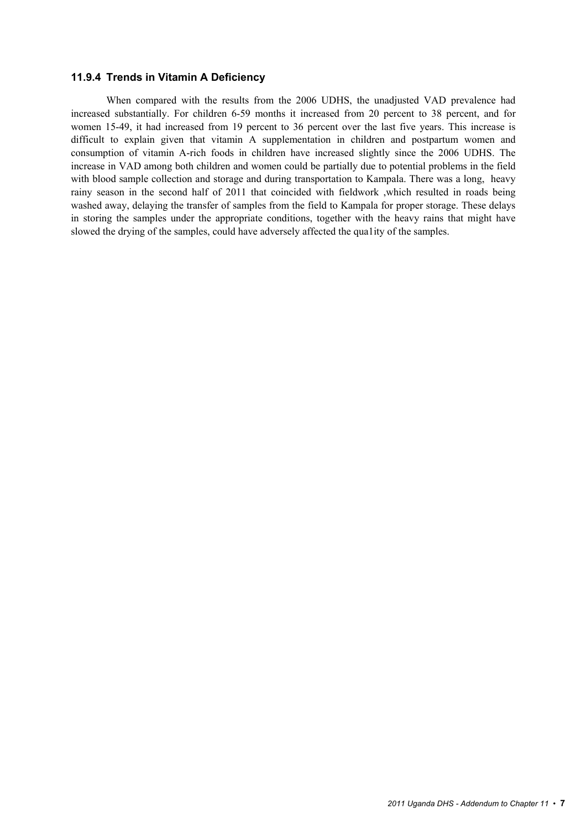#### **11.9.4 Trends in Vitamin A Deficiency**

When compared with the results from the 2006 UDHS, the unadjusted VAD prevalence had increased substantially. For children 6-59 months it increased from 20 percent to 38 percent, and for women 15-49, it had increased from 19 percent to 36 percent over the last five years. This increase is difficult to explain given that vitamin A supplementation in children and postpartum women and consumption of vitamin A-rich foods in children have increased slightly since the 2006 UDHS. The increase in VAD among both children and women could be partially due to potential problems in the field with blood sample collection and storage and during transportation to Kampala. There was a long, heavy rainy season in the second half of 2011 that coincided with fieldwork ,which resulted in roads being washed away, delaying the transfer of samples from the field to Kampala for proper storage. These delays in storing the samples under the appropriate conditions, together with the heavy rains that might have slowed the drying of the samples, could have adversely affected the qua1ity of the samples.